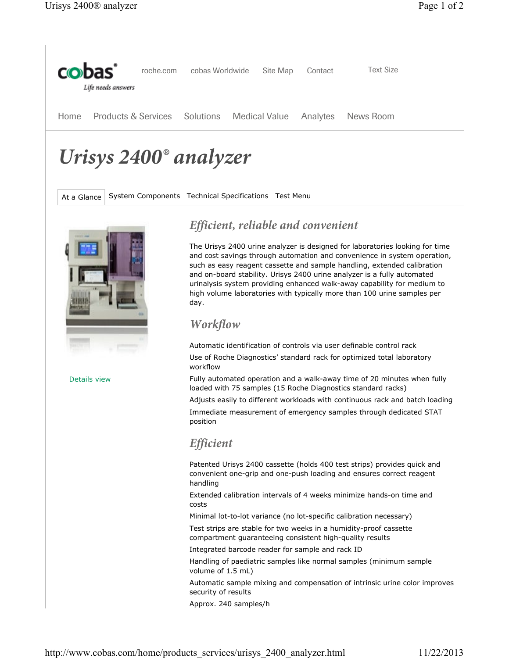

# *Urisys 2400® analyzer*

At a Glance System Components Technical Specifications Test Menu



Details view

# *Efficient, reliable and convenient*

The Urisys 2400 urine analyzer is designed for laboratories looking for time and cost savings through automation and convenience in system operation, such as easy reagent cassette and sample handling, extended calibration and on-board stability. Urisys 2400 urine analyzer is a fully automated urinalysis system providing enhanced walk-away capability for medium to high volume laboratories with typically more than 100 urine samples per day.

#### *Workflow*

Automatic identification of controls via user definable control rack Use of Roche Diagnostics' standard rack for optimized total laboratory workflow

Fully automated operation and a walk-away time of 20 minutes when fully loaded with 75 samples (15 Roche Diagnostics standard racks)

Adjusts easily to different workloads with continuous rack and batch loading Immediate measurement of emergency samples through dedicated STAT position

#### *Efficient*

Patented Urisys 2400 cassette (holds 400 test strips) provides quick and convenient one-grip and one-push loading and ensures correct reagent handling

Extended calibration intervals of 4 weeks minimize hands-on time and costs

Minimal lot-to-lot variance (no lot-specific calibration necessary)

Test strips are stable for two weeks in a humidity-proof cassette compartment guaranteeing consistent high-quality results

Integrated barcode reader for sample and rack ID

Handling of paediatric samples like normal samples (minimum sample volume of 1.5 mL)

Automatic sample mixing and compensation of intrinsic urine color improves security of results

Approx. 240 samples/h